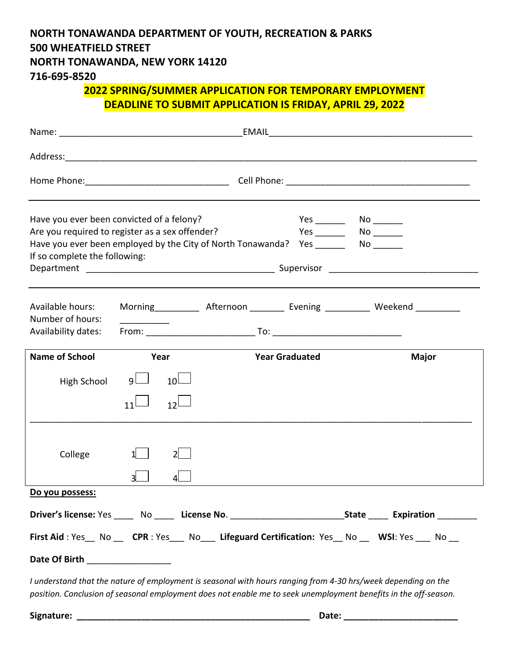## **NORTH TONAWANDA DEPARTMENT OF YOUTH, RECREATION & PARKS 500 WHEATFIELD STREET NORTH TONAWANDA, NEW YORK 14120**

**716-695-8520**

## **2022 SPRING/SUMMER APPLICATION FOR TEMPORARY EMPLOYMENT DEADLINE TO SUBMIT APPLICATION IS FRIDAY, APRIL 29, 2022**

| Have you ever been convicted of a felony?<br>Are you required to register as a sex offender?<br>Have you ever been employed by the City of North Tonawanda? Yes _________ No _______<br>If so complete the following: |          |                       |  |                       |  |                                                                                                                     |  |  |
|-----------------------------------------------------------------------------------------------------------------------------------------------------------------------------------------------------------------------|----------|-----------------------|--|-----------------------|--|---------------------------------------------------------------------------------------------------------------------|--|--|
| Available hours:<br>Number of hours:<br>Availability dates:                                                                                                                                                           |          |                       |  |                       |  | Morning __________ Afternoon ________ Evening _________ Weekend __________                                          |  |  |
| <b>Name of School</b>                                                                                                                                                                                                 | Year     |                       |  | <b>Year Graduated</b> |  | <b>Major</b>                                                                                                        |  |  |
| High School                                                                                                                                                                                                           | 9L<br>11 | 10 <sup>1</sup><br>12 |  |                       |  |                                                                                                                     |  |  |
| College                                                                                                                                                                                                               |          |                       |  |                       |  |                                                                                                                     |  |  |
| Do you possess:                                                                                                                                                                                                       |          |                       |  |                       |  |                                                                                                                     |  |  |
|                                                                                                                                                                                                                       |          |                       |  |                       |  | Driver's license: Yes ______ No ______ License No. ______________________________State ______ Expiration __________ |  |  |
| First Aid: Yes_ No _ CPR: Yes_ No _ Lifeguard Certification: Yes_ No _ WSI: Yes _ No _                                                                                                                                |          |                       |  |                       |  |                                                                                                                     |  |  |
| Date Of Birth __________________                                                                                                                                                                                      |          |                       |  |                       |  |                                                                                                                     |  |  |

*I understand that the nature of employment is seasonal with hours ranging from 4-30 hrs/week depending on the position. Conclusion of seasonal employment does not enable me to seek unemployment benefits in the off-season.* 

**Signature: \_\_\_\_\_\_\_\_\_\_\_\_\_\_\_\_\_\_\_\_\_\_\_\_\_\_\_\_\_\_\_\_\_\_\_\_\_\_\_\_\_\_\_\_\_\_\_ Date: \_\_\_\_\_\_\_\_\_\_\_\_\_\_\_\_\_\_\_\_\_\_\_**